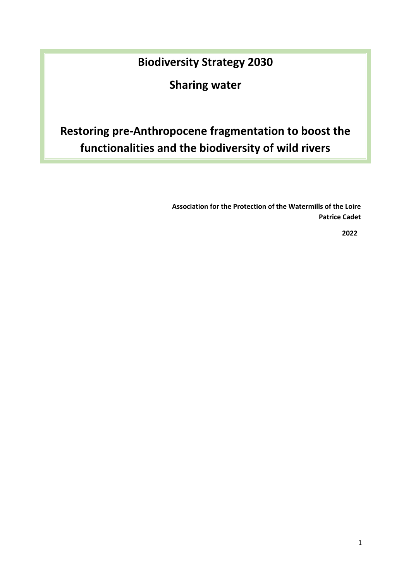# **Biodiversity Strategy 2030**

**Sharing water**

# **Restoring pre-Anthropocene fragmentation to boost the functionalities and the biodiversity of wild rivers**

**Association for the Protection of the Watermills of the Loire Patrice Cadet**

**2022**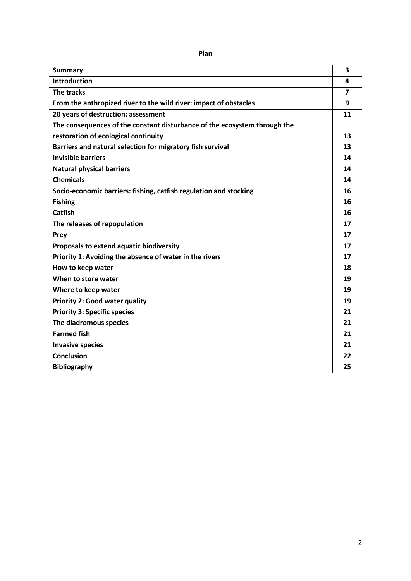| <b>Summary</b>                                                            | 3              |
|---------------------------------------------------------------------------|----------------|
| <b>Introduction</b>                                                       | 4              |
| The tracks                                                                | $\overline{7}$ |
| From the anthropized river to the wild river: impact of obstacles         | 9              |
| 20 years of destruction: assessment                                       | 11             |
| The consequences of the constant disturbance of the ecosystem through the |                |
| restoration of ecological continuity                                      | 13             |
| Barriers and natural selection for migratory fish survival                | 13             |
| <b>Invisible barriers</b>                                                 | 14             |
| <b>Natural physical barriers</b>                                          | 14             |
| <b>Chemicals</b>                                                          | 14             |
| Socio-economic barriers: fishing, catfish regulation and stocking         | 16             |
| <b>Fishing</b>                                                            | 16             |
| <b>Catfish</b>                                                            | 16             |
| The releases of repopulation                                              | 17             |
| Prey                                                                      | 17             |
| Proposals to extend aquatic biodiversity                                  | 17             |
| Priority 1: Avoiding the absence of water in the rivers                   | 17             |
| How to keep water                                                         | 18             |
| When to store water                                                       | 19             |
| Where to keep water                                                       | 19             |
| <b>Priority 2: Good water quality</b>                                     | 19             |
| <b>Priority 3: Specific species</b>                                       | 21             |
| The diadromous species                                                    | 21             |
| <b>Farmed fish</b>                                                        | 21             |
| <b>Invasive species</b>                                                   | 21             |
| <b>Conclusion</b>                                                         | 22             |
| <b>Bibliography</b>                                                       | 25             |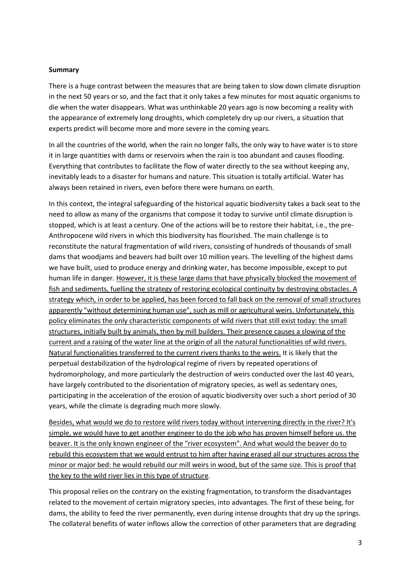#### **Summary**

There is a huge contrast between the measures that are being taken to slow down climate disruption in the next 50 years or so, and the fact that it only takes a few minutes for most aquatic organisms to die when the water disappears. What was unthinkable 20 years ago is now becoming a reality with the appearance of extremely long droughts, which completely dry up our rivers, a situation that experts predict will become more and more severe in the coming years.

In all the countries of the world, when the rain no longer falls, the only way to have water is to store it in large quantities with dams or reservoirs when the rain is too abundant and causes flooding. Everything that contributes to facilitate the flow of water directly to the sea without keeping any, inevitably leads to a disaster for humans and nature. This situation is totally artificial. Water has always been retained in rivers, even before there were humans on earth.

In this context, the integral safeguarding of the historical aquatic biodiversity takes a back seat to the need to allow as many of the organisms that compose it today to survive until climate disruption is stopped, which is at least a century. One of the actions will be to restore their habitat, i.e., the pre-Anthropocene wild rivers in which this biodiversity has flourished. The main challenge is to reconstitute the natural fragmentation of wild rivers, consisting of hundreds of thousands of small dams that woodjams and beavers had built over 10 million years. The levelling of the highest dams we have built, used to produce energy and drinking water, has become impossible, except to put human life in danger. However, it is these large dams that have physically blocked the movement of fish and sediments, fuelling the strategy of restoring ecological continuity by destroying obstacles. A strategy which, in order to be applied, has been forced to fall back on the removal of small structures apparently "without determining human use", such as mill or agricultural weirs. Unfortunately, this policy eliminates the only characteristic components of wild rivers that still exist today: the small structures, initially built by animals, then by mill builders. Their presence causes a slowing of the current and a raising of the water line at the origin of all the natural functionalities of wild rivers. Natural functionalities transferred to the current rivers thanks to the weirs. It is likely that the perpetual destabilization of the hydrological regime of rivers by repeated operations of hydromorphology, and more particularly the destruction of weirs conducted over the last 40 years, have largely contributed to the disorientation of migratory species, as well as sedentary ones, participating in the acceleration of the erosion of aquatic biodiversity over such a short period of 30 years, while the climate is degrading much more slowly.

Besides, what would we do to restore wild rivers today without intervening directly in the river? It's simple, we would have to get another engineer to do the job who has proven himself before us. the beaver. It is the only known engineer of the "river ecosystem". And what would the beaver do to rebuild this ecosystem that we would entrust to him after having erased all our structures across the minor or major bed: he would rebuild our mill weirs in wood, but of the same size. This is proof that the key to the wild river lies in this type of structure.

This proposal relies on the contrary on the existing fragmentation, to transform the disadvantages related to the movement of certain migratory species, into advantages. The first of these being, for dams, the ability to feed the river permanently, even during intense droughts that dry up the springs. The collateral benefits of water inflows allow the correction of other parameters that are degrading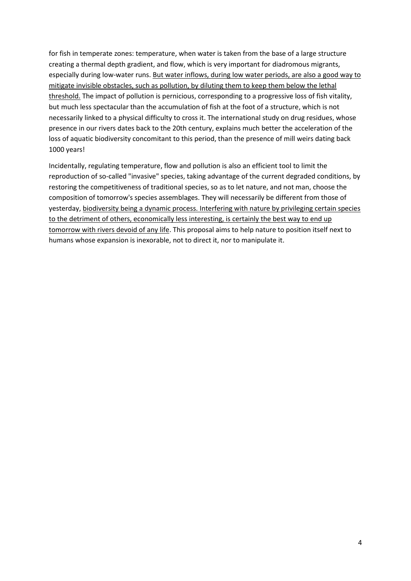for fish in temperate zones: temperature, when water is taken from the base of a large structure creating a thermal depth gradient, and flow, which is very important for diadromous migrants, especially during low-water runs. But water inflows, during low water periods, are also a good way to mitigate invisible obstacles, such as pollution, by diluting them to keep them below the lethal threshold. The impact of pollution is pernicious, corresponding to a progressive loss of fish vitality, but much less spectacular than the accumulation of fish at the foot of a structure, which is not necessarily linked to a physical difficulty to cross it. The international study on drug residues, whose presence in our rivers dates back to the 20th century, explains much better the acceleration of the loss of aquatic biodiversity concomitant to this period, than the presence of mill weirs dating back 1000 years!

Incidentally, regulating temperature, flow and pollution is also an efficient tool to limit the reproduction of so-called "invasive" species, taking advantage of the current degraded conditions, by restoring the competitiveness of traditional species, so as to let nature, and not man, choose the composition of tomorrow's species assemblages. They will necessarily be different from those of yesterday, biodiversity being a dynamic process. Interfering with nature by privileging certain species to the detriment of others, economically less interesting, is certainly the best way to end up tomorrow with rivers devoid of any life. This proposal aims to help nature to position itself next to humans whose expansion is inexorable, not to direct it, nor to manipulate it.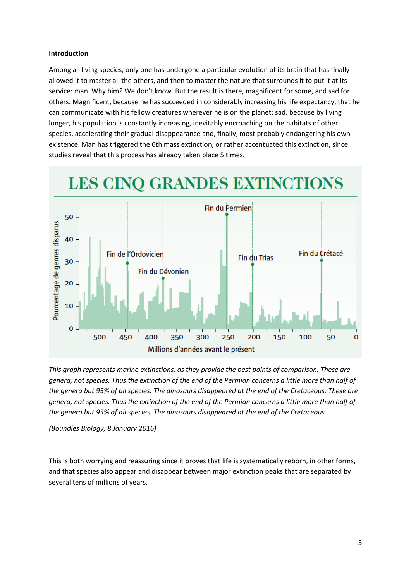#### **Introduction**

Among all living species, only one has undergone a particular evolution of its brain that has finally allowed it to master all the others, and then to master the nature that surrounds it to put it at its service: man. Why him? We don't know. But the result is there, magnificent for some, and sad for others. Magnificent, because he has succeeded in considerably increasing his life expectancy, that he can communicate with his fellow creatures wherever he is on the planet; sad, because by living longer, his population is constantly increasing, inevitably encroaching on the habitats of other species, accelerating their gradual disappearance and, finally, most probably endangering his own existence. Man has triggered the 6th mass extinction, or rather accentuated this extinction, since studies reveal that this process has already taken place 5 times.



*This graph represents marine extinctions, as they provide the best points of comparison. These are genera, not species. Thus the extinction of the end of the Permian concerns a little more than half of the genera but 95% of all species. The dinosaurs disappeared at the end of the Cretaceous. These are genera, not species. Thus the extinction of the end of the Permian concerns a little more than half of the genera but 95% of all species. The dinosaurs disappeared at the end of the Cretaceous*

*(Boundles Biology, 8 January 2016)*

This is both worrying and reassuring since it proves that life is systematically reborn, in other forms, and that species also appear and disappear between major extinction peaks that are separated by several tens of millions of years.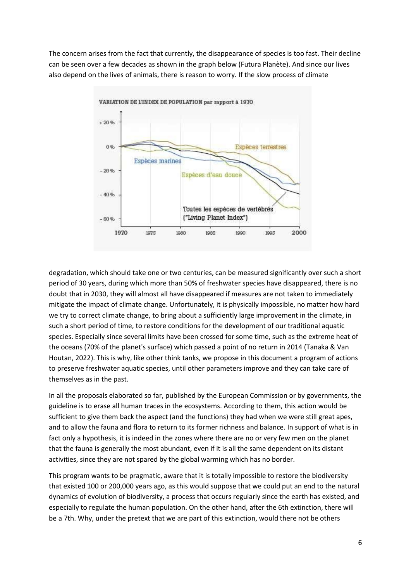The concern arises from the fact that currently, the disappearance of species is too fast. Their decline can be seen over a few decades as shown in the graph below (Futura Planète). And since our lives also depend on the lives of animals, there is reason to worry. If the slow process of climate



degradation, which should take one or two centuries, can be measured significantly over such a short period of 30 years, during which more than 50% of freshwater species have disappeared, there is no doubt that in 2030, they will almost all have disappeared if measures are not taken to immediately mitigate the impact of climate change. Unfortunately, it is physically impossible, no matter how hard we try to correct climate change, to bring about a sufficiently large improvement in the climate, in such a short period of time, to restore conditions for the development of our traditional aquatic species. Especially since several limits have been crossed for some time, such as the extreme heat of the oceans (70% of the planet's surface) which passed a point of no return in 2014 (Tanaka & Van Houtan, 2022). This is why, like other think tanks, we propose in this document a program of actions to preserve freshwater aquatic species, until other parameters improve and they can take care of themselves as in the past.

In all the proposals elaborated so far, published by the European Commission or by governments, the guideline is to erase all human traces in the ecosystems. According to them, this action would be sufficient to give them back the aspect (and the functions) they had when we were still great apes, and to allow the fauna and flora to return to its former richness and balance. In support of what is in fact only a hypothesis, it is indeed in the zones where there are no or very few men on the planet that the fauna is generally the most abundant, even if it is all the same dependent on its distant activities, since they are not spared by the global warming which has no border.

This program wants to be pragmatic, aware that it is totally impossible to restore the biodiversity that existed 100 or 200,000 years ago, as this would suppose that we could put an end to the natural dynamics of evolution of biodiversity, a process that occurs regularly since the earth has existed, and especially to regulate the human population. On the other hand, after the 6th extinction, there will be a 7th. Why, under the pretext that we are part of this extinction, would there not be others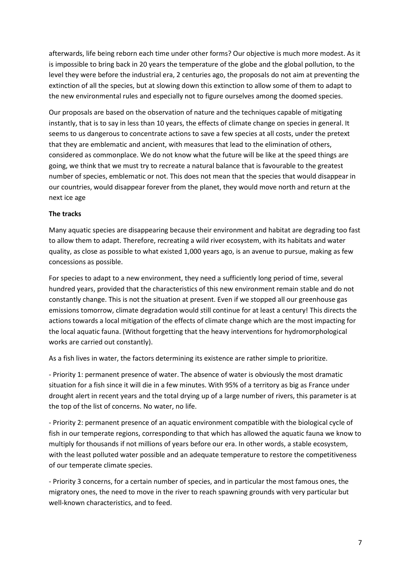afterwards, life being reborn each time under other forms? Our objective is much more modest. As it is impossible to bring back in 20 years the temperature of the globe and the global pollution, to the level they were before the industrial era, 2 centuries ago, the proposals do not aim at preventing the extinction of all the species, but at slowing down this extinction to allow some of them to adapt to the new environmental rules and especially not to figure ourselves among the doomed species.

Our proposals are based on the observation of nature and the techniques capable of mitigating instantly, that is to say in less than 10 years, the effects of climate change on species in general. It seems to us dangerous to concentrate actions to save a few species at all costs, under the pretext that they are emblematic and ancient, with measures that lead to the elimination of others, considered as commonplace. We do not know what the future will be like at the speed things are going, we think that we must try to recreate a natural balance that is favourable to the greatest number of species, emblematic or not. This does not mean that the species that would disappear in our countries, would disappear forever from the planet, they would move north and return at the next ice age

#### **The tracks**

Many aquatic species are disappearing because their environment and habitat are degrading too fast to allow them to adapt. Therefore, recreating a wild river ecosystem, with its habitats and water quality, as close as possible to what existed 1,000 years ago, is an avenue to pursue, making as few concessions as possible.

For species to adapt to a new environment, they need a sufficiently long period of time, several hundred years, provided that the characteristics of this new environment remain stable and do not constantly change. This is not the situation at present. Even if we stopped all our greenhouse gas emissions tomorrow, climate degradation would still continue for at least a century! This directs the actions towards a local mitigation of the effects of climate change which are the most impacting for the local aquatic fauna. (Without forgetting that the heavy interventions for hydromorphological works are carried out constantly).

As a fish lives in water, the factors determining its existence are rather simple to prioritize.

- Priority 1: permanent presence of water. The absence of water is obviously the most dramatic situation for a fish since it will die in a few minutes. With 95% of a territory as big as France under drought alert in recent years and the total drying up of a large number of rivers, this parameter is at the top of the list of concerns. No water, no life.

- Priority 2: permanent presence of an aquatic environment compatible with the biological cycle of fish in our temperate regions, corresponding to that which has allowed the aquatic fauna we know to multiply for thousands if not millions of years before our era. In other words, a stable ecosystem, with the least polluted water possible and an adequate temperature to restore the competitiveness of our temperate climate species.

- Priority 3 concerns, for a certain number of species, and in particular the most famous ones, the migratory ones, the need to move in the river to reach spawning grounds with very particular but well-known characteristics, and to feed.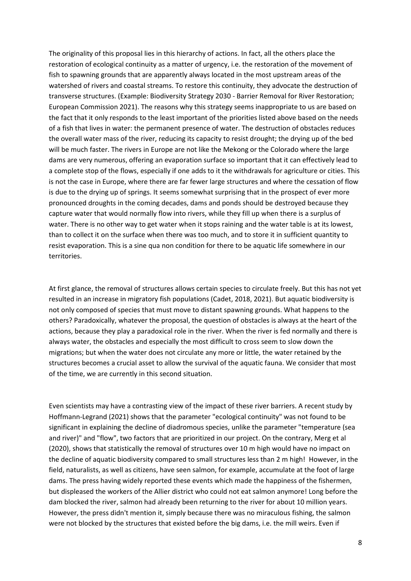The originality of this proposal lies in this hierarchy of actions. In fact, all the others place the restoration of ecological continuity as a matter of urgency, i.e. the restoration of the movement of fish to spawning grounds that are apparently always located in the most upstream areas of the watershed of rivers and coastal streams. To restore this continuity, they advocate the destruction of transverse structures. (Example: Biodiversity Strategy 2030 - Barrier Removal for River Restoration; European Commission 2021). The reasons why this strategy seems inappropriate to us are based on the fact that it only responds to the least important of the priorities listed above based on the needs of a fish that lives in water: the permanent presence of water. The destruction of obstacles reduces the overall water mass of the river, reducing its capacity to resist drought; the drying up of the bed will be much faster. The rivers in Europe are not like the Mekong or the Colorado where the large dams are very numerous, offering an evaporation surface so important that it can effectively lead to a complete stop of the flows, especially if one adds to it the withdrawals for agriculture or cities. This is not the case in Europe, where there are far fewer large structures and where the cessation of flow is due to the drying up of springs. It seems somewhat surprising that in the prospect of ever more pronounced droughts in the coming decades, dams and ponds should be destroyed because they capture water that would normally flow into rivers, while they fill up when there is a surplus of water. There is no other way to get water when it stops raining and the water table is at its lowest, than to collect it on the surface when there was too much, and to store it in sufficient quantity to resist evaporation. This is a sine qua non condition for there to be aquatic life somewhere in our territories.

At first glance, the removal of structures allows certain species to circulate freely. But this has not yet resulted in an increase in migratory fish populations (Cadet, 2018, 2021). But aquatic biodiversity is not only composed of species that must move to distant spawning grounds. What happens to the others? Paradoxically, whatever the proposal, the question of obstacles is always at the heart of the actions, because they play a paradoxical role in the river. When the river is fed normally and there is always water, the obstacles and especially the most difficult to cross seem to slow down the migrations; but when the water does not circulate any more or little, the water retained by the structures becomes a crucial asset to allow the survival of the aquatic fauna. We consider that most of the time, we are currently in this second situation.

Even scientists may have a contrasting view of the impact of these river barriers. A recent study by Hoffmann-Legrand (2021) shows that the parameter "ecological continuity" was not found to be significant in explaining the decline of diadromous species, unlike the parameter "temperature (sea and river)" and "flow", two factors that are prioritized in our project. On the contrary, Merg et al (2020), shows that statistically the removal of structures over 10 m high would have no impact on the decline of aquatic biodiversity compared to small structures less than 2 m high! However, in the field, naturalists, as well as citizens, have seen salmon, for example, accumulate at the foot of large dams. The press having widely reported these events which made the happiness of the fishermen, but displeased the workers of the Allier district who could not eat salmon anymore! Long before the dam blocked the river, salmon had already been returning to the river for about 10 million years. However, the press didn't mention it, simply because there was no miraculous fishing, the salmon were not blocked by the structures that existed before the big dams, i.e. the mill weirs. Even if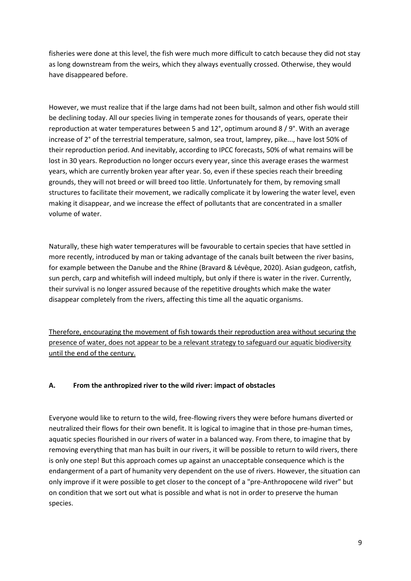fisheries were done at this level, the fish were much more difficult to catch because they did not stay as long downstream from the weirs, which they always eventually crossed. Otherwise, they would have disappeared before.

However, we must realize that if the large dams had not been built, salmon and other fish would still be declining today. All our species living in temperate zones for thousands of years, operate their reproduction at water temperatures between 5 and 12°, optimum around 8 / 9°. With an average increase of 2° of the terrestrial temperature, salmon, sea trout, lamprey, pike..., have lost 50% of their reproduction period. And inevitably, according to IPCC forecasts, 50% of what remains will be lost in 30 years. Reproduction no longer occurs every year, since this average erases the warmest years, which are currently broken year after year. So, even if these species reach their breeding grounds, they will not breed or will breed too little. Unfortunately for them, by removing small structures to facilitate their movement, we radically complicate it by lowering the water level, even making it disappear, and we increase the effect of pollutants that are concentrated in a smaller volume of water.

Naturally, these high water temperatures will be favourable to certain species that have settled in more recently, introduced by man or taking advantage of the canals built between the river basins, for example between the Danube and the Rhine (Bravard & Lévêque, 2020). Asian gudgeon, catfish, sun perch, carp and whitefish will indeed multiply, but only if there is water in the river. Currently, their survival is no longer assured because of the repetitive droughts which make the water disappear completely from the rivers, affecting this time all the aquatic organisms.

Therefore, encouraging the movement of fish towards their reproduction area without securing the presence of water, does not appear to be a relevant strategy to safeguard our aquatic biodiversity until the end of the century.

# **A. From the anthropized river to the wild river: impact of obstacles**

Everyone would like to return to the wild, free-flowing rivers they were before humans diverted or neutralized their flows for their own benefit. It is logical to imagine that in those pre-human times, aquatic species flourished in our rivers of water in a balanced way. From there, to imagine that by removing everything that man has built in our rivers, it will be possible to return to wild rivers, there is only one step! But this approach comes up against an unacceptable consequence which is the endangerment of a part of humanity very dependent on the use of rivers. However, the situation can only improve if it were possible to get closer to the concept of a "pre-Anthropocene wild river" but on condition that we sort out what is possible and what is not in order to preserve the human species.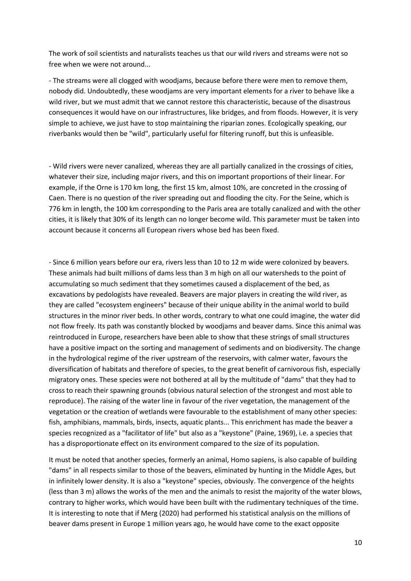The work of soil scientists and naturalists teaches us that our wild rivers and streams were not so free when we were not around...

- The streams were all clogged with woodjams, because before there were men to remove them, nobody did. Undoubtedly, these woodjams are very important elements for a river to behave like a wild river, but we must admit that we cannot restore this characteristic, because of the disastrous consequences it would have on our infrastructures, like bridges, and from floods. However, it is very simple to achieve, we just have to stop maintaining the riparian zones. Ecologically speaking, our riverbanks would then be "wild", particularly useful for filtering runoff, but this is unfeasible.

- Wild rivers were never canalized, whereas they are all partially canalized in the crossings of cities, whatever their size, including major rivers, and this on important proportions of their linear. For example, if the Orne is 170 km long, the first 15 km, almost 10%, are concreted in the crossing of Caen. There is no question of the river spreading out and flooding the city. For the Seine, which is 776 km in length, the 100 km corresponding to the Paris area are totally canalized and with the other cities, it is likely that 30% of its length can no longer become wild. This parameter must be taken into account because it concerns all European rivers whose bed has been fixed.

- Since 6 million years before our era, rivers less than 10 to 12 m wide were colonized by beavers. These animals had built millions of dams less than 3 m high on all our watersheds to the point of accumulating so much sediment that they sometimes caused a displacement of the bed, as excavations by pedologists have revealed. Beavers are major players in creating the wild river, as they are called "ecosystem engineers" because of their unique ability in the animal world to build structures in the minor river beds. In other words, contrary to what one could imagine, the water did not flow freely. Its path was constantly blocked by woodjams and beaver dams. Since this animal was reintroduced in Europe, researchers have been able to show that these strings of small structures have a positive impact on the sorting and management of sediments and on biodiversity. The change in the hydrological regime of the river upstream of the reservoirs, with calmer water, favours the diversification of habitats and therefore of species, to the great benefit of carnivorous fish, especially migratory ones. These species were not bothered at all by the multitude of "dams" that they had to cross to reach their spawning grounds (obvious natural selection of the strongest and most able to reproduce). The raising of the water line in favour of the river vegetation, the management of the vegetation or the creation of wetlands were favourable to the establishment of many other species: fish, amphibians, mammals, birds, insects, aquatic plants... This enrichment has made the beaver a species recognized as a "facilitator of life" but also as a "keystone" (Paine, 1969), i.e. a species that has a disproportionate effect on its environment compared to the size of its population.

It must be noted that another species, formerly an animal, Homo sapiens, is also capable of building "dams" in all respects similar to those of the beavers, eliminated by hunting in the Middle Ages, but in infinitely lower density. It is also a "keystone" species, obviously. The convergence of the heights (less than 3 m) allows the works of the men and the animals to resist the majority of the water blows, contrary to higher works, which would have been built with the rudimentary techniques of the time. It is interesting to note that if Merg (2020) had performed his statistical analysis on the millions of beaver dams present in Europe 1 million years ago, he would have come to the exact opposite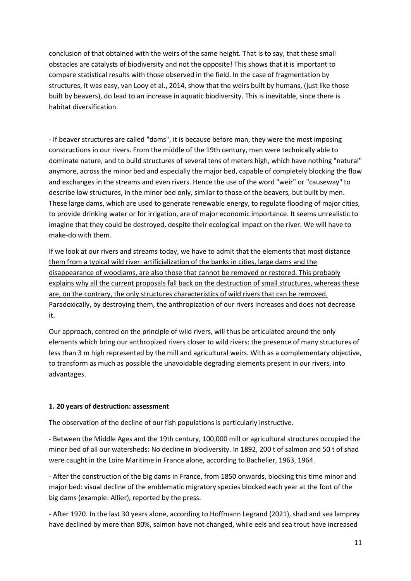conclusion of that obtained with the weirs of the same height. That is to say, that these small obstacles are catalysts of biodiversity and not the opposite! This shows that it is important to compare statistical results with those observed in the field. In the case of fragmentation by structures, it was easy, van Looy et al., 2014, show that the weirs built by humans, (just like those built by beavers), do lead to an increase in aquatic biodiversity. This is inevitable, since there is habitat diversification.

- If beaver structures are called "dams", it is because before man, they were the most imposing constructions in our rivers. From the middle of the 19th century, men were technically able to dominate nature, and to build structures of several tens of meters high, which have nothing "natural" anymore, across the minor bed and especially the major bed, capable of completely blocking the flow and exchanges in the streams and even rivers. Hence the use of the word "weir" or "causeway" to describe low structures, in the minor bed only, similar to those of the beavers, but built by men. These large dams, which are used to generate renewable energy, to regulate flooding of major cities, to provide drinking water or for irrigation, are of major economic importance. It seems unrealistic to imagine that they could be destroyed, despite their ecological impact on the river. We will have to make-do with them.

If we look at our rivers and streams today, we have to admit that the elements that most distance them from a typical wild river: artificialization of the banks in cities, large dams and the disappearance of woodjams, are also those that cannot be removed or restored. This probably explains why all the current proposals fall back on the destruction of small structures, whereas these are, on the contrary, the only structures characteristics of wild rivers that can be removed. Paradoxically, by destroying them, the anthropization of our rivers increases and does not decrease it.

Our approach, centred on the principle of wild rivers, will thus be articulated around the only elements which bring our anthropized rivers closer to wild rivers: the presence of many structures of less than 3 m high represented by the mill and agricultural weirs. With as a complementary objective, to transform as much as possible the unavoidable degrading elements present in our rivers, into advantages.

# **1. 20 years of destruction: assessment**

The observation of the decline of our fish populations is particularly instructive.

- Between the Middle Ages and the 19th century, 100,000 mill or agricultural structures occupied the minor bed of all our watersheds: No decline in biodiversity. In 1892, 200 t of salmon and 50 t of shad were caught in the Loire Maritime in France alone, according to Bachelier, 1963, 1964.

- After the construction of the big dams in France, from 1850 onwards, blocking this time minor and major bed: visual decline of the emblematic migratory species blocked each year at the foot of the big dams (example: Allier), reported by the press.

- After 1970. In the last 30 years alone, according to Hoffmann Legrand (2021), shad and sea lamprey have declined by more than 80%, salmon have not changed, while eels and sea trout have increased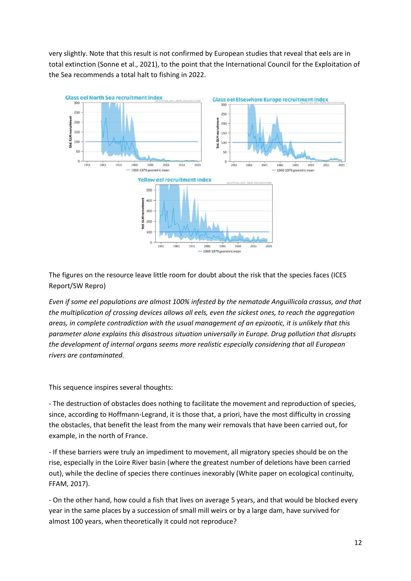very slightly. Note that this result is not confirmed by European studies that reveal that eels are in total extinction (Sonne et al., 2021), to the point that the International Council for the Exploitation of the Sea recommends a total halt to fishing in 2022.



The figures on the resource leave little room for doubt about the risk that the species faces (ICES Report/SW Repro)

*Even if some eel populations are almost 100% infested by the nematode Anguillicola crassus, and that the multiplication of crossing devices allows all eels, even the sickest ones, to reach the aggregation areas, in complete contradiction with the usual management of an epizootic, it is unlikely that this parameter alone explains this disastrous situation universally in Europe. Drug pollution that disrupts the development of internal organs seems more realistic especially considering that all European rivers are contaminated.*

This sequence inspires several thoughts:

- The destruction of obstacles does nothing to facilitate the movement and reproduction of species, since, according to Hoffmann-Legrand, it is those that, a priori, have the most difficulty in crossing the obstacles, that benefit the least from the many weir removals that have been carried out, for example, in the north of France.

- If these barriers were truly an impediment to movement, all migratory species should be on the rise, especially in the Loire River basin (where the greatest number of deletions have been carried out), while the decline of species there continues inexorably (White paper on ecological continuity, FFAM, 2017).

- On the other hand, how could a fish that lives on average 5 years, and that would be blocked every year in the same places by a succession of small mill weirs or by a large dam, have survived for almost 100 years, when theoretically it could not reproduce?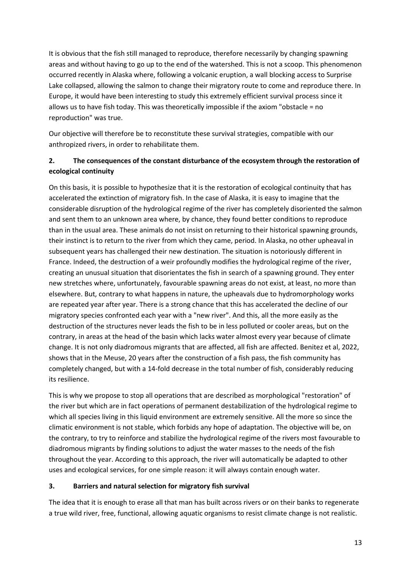It is obvious that the fish still managed to reproduce, therefore necessarily by changing spawning areas and without having to go up to the end of the watershed. This is not a scoop. This phenomenon occurred recently in Alaska where, following a volcanic eruption, a wall blocking access to Surprise Lake collapsed, allowing the salmon to change their migratory route to come and reproduce there. In Europe, it would have been interesting to study this extremely efficient survival process since it allows us to have fish today. This was theoretically impossible if the axiom "obstacle = no reproduction" was true.

Our objective will therefore be to reconstitute these survival strategies, compatible with our anthropized rivers, in order to rehabilitate them.

# **2. The consequences of the constant disturbance of the ecosystem through the restoration of ecological continuity**

On this basis, it is possible to hypothesize that it is the restoration of ecological continuity that has accelerated the extinction of migratory fish. In the case of Alaska, it is easy to imagine that the considerable disruption of the hydrological regime of the river has completely disoriented the salmon and sent them to an unknown area where, by chance, they found better conditions to reproduce than in the usual area. These animals do not insist on returning to their historical spawning grounds, their instinct is to return to the river from which they came, period. In Alaska, no other upheaval in subsequent years has challenged their new destination. The situation is notoriously different in France. Indeed, the destruction of a weir profoundly modifies the hydrological regime of the river, creating an unusual situation that disorientates the fish in search of a spawning ground. They enter new stretches where, unfortunately, favourable spawning areas do not exist, at least, no more than elsewhere. But, contrary to what happens in nature, the upheavals due to hydromorphology works are repeated year after year. There is a strong chance that this has accelerated the decline of our migratory species confronted each year with a "new river". And this, all the more easily as the destruction of the structures never leads the fish to be in less polluted or cooler areas, but on the contrary, in areas at the head of the basin which lacks water almost every year because of climate change. It is not only diadromous migrants that are affected, all fish are affected. Benitez et al, 2022, shows that in the Meuse, 20 years after the construction of a fish pass, the fish community has completely changed, but with a 14-fold decrease in the total number of fish, considerably reducing its resilience.

This is why we propose to stop all operations that are described as morphological "restoration" of the river but which are in fact operations of permanent destabilization of the hydrological regime to which all species living in this liquid environment are extremely sensitive. All the more so since the climatic environment is not stable, which forbids any hope of adaptation. The objective will be, on the contrary, to try to reinforce and stabilize the hydrological regime of the rivers most favourable to diadromous migrants by finding solutions to adjust the water masses to the needs of the fish throughout the year. According to this approach, the river will automatically be adapted to other uses and ecological services, for one simple reason: it will always contain enough water.

# **3. Barriers and natural selection for migratory fish survival**

The idea that it is enough to erase all that man has built across rivers or on their banks to regenerate a true wild river, free, functional, allowing aquatic organisms to resist climate change is not realistic.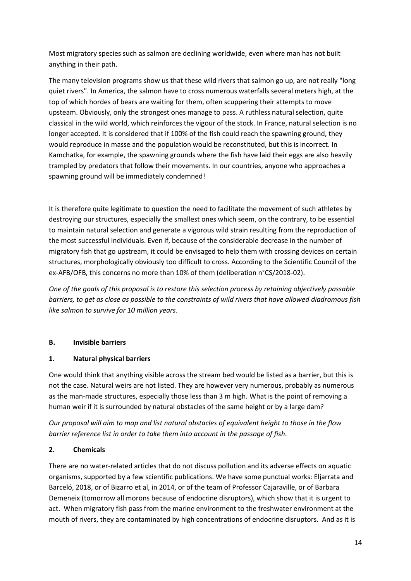Most migratory species such as salmon are declining worldwide, even where man has not built anything in their path.

The many television programs show us that these wild rivers that salmon go up, are not really "long quiet rivers". In America, the salmon have to cross numerous waterfalls several meters high, at the top of which hordes of bears are waiting for them, often scuppering their attempts to move upsteam. Obviously, only the strongest ones manage to pass. A ruthless natural selection, quite classical in the wild world, which reinforces the vigour of the stock. In France, natural selection is no longer accepted. It is considered that if 100% of the fish could reach the spawning ground, they would reproduce in masse and the population would be reconstituted, but this is incorrect. In Kamchatka, for example, the spawning grounds where the fish have laid their eggs are also heavily trampled by predators that follow their movements. In our countries, anyone who approaches a spawning ground will be immediately condemned!

It is therefore quite legitimate to question the need to facilitate the movement of such athletes by destroying our structures, especially the smallest ones which seem, on the contrary, to be essential to maintain natural selection and generate a vigorous wild strain resulting from the reproduction of the most successful individuals. Even if, because of the considerable decrease in the number of migratory fish that go upstream, it could be envisaged to help them with crossing devices on certain structures, morphologically obviously too difficult to cross. According to the Scientific Council of the ex-AFB/OFB, this concerns no more than 10% of them (deliberation n°CS/2018-02).

*One of the goals of this proposal is to restore this selection process by retaining objectively passable barriers, to get as close as possible to the constraints of wild rivers that have allowed diadromous fish like salmon to survive for 10 million years*.

# **B. Invisible barriers**

# **1. Natural physical barriers**

One would think that anything visible across the stream bed would be listed as a barrier, but this is not the case. Natural weirs are not listed. They are however very numerous, probably as numerous as the man-made structures, especially those less than 3 m high. What is the point of removing a human weir if it is surrounded by natural obstacles of the same height or by a large dam?

*Our proposal will aim to map and list natural obstacles of equivalent height to those in the flow barrier reference list in order to take them into account in the passage of fish*.

# **2. Chemicals**

There are no water-related articles that do not discuss pollution and its adverse effects on aquatic organisms, supported by a few scientific publications. We have some punctual works: Eljarrata and Barceló, 2018, or of Bizarro et al, in 2014, or of the team of Professor Cajaraville, or of Barbara Demeneix (tomorrow all morons because of endocrine disruptors), which show that it is urgent to act. When migratory fish pass from the marine environment to the freshwater environment at the mouth of rivers, they are contaminated by high concentrations of endocrine disruptors. And as it is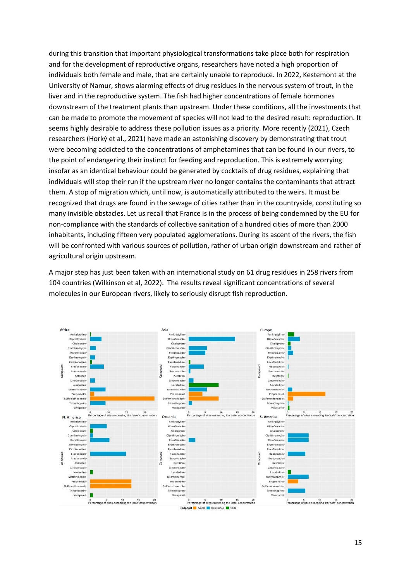during this transition that important physiological transformations take place both for respiration and for the development of reproductive organs, researchers have noted a high proportion of individuals both female and male, that are certainly unable to reproduce. In 2022, Kestemont at the University of Namur, shows alarming effects of drug residues in the nervous system of trout, in the liver and in the reproductive system. The fish had higher concentrations of female hormones downstream of the treatment plants than upstream. Under these conditions, all the investments that can be made to promote the movement of species will not lead to the desired result: reproduction. It seems highly desirable to address these pollution issues as a priority. More recently (2021), Czech researchers [\(Horký](javascript:;) et al., 2021) have made an astonishing discovery by demonstrating that trout were becoming addicted to the concentrations of amphetamines that can be found in our rivers, to the point of endangering their instinct for feeding and reproduction. This is extremely worrying insofar as an identical behaviour could be generated by cocktails of drug residues, explaining that individuals will stop their run if the upstream river no longer contains the contaminants that attract them. A stop of migration which, until now, is automatically attributed to the weirs. It must be recognized that drugs are found in the sewage of cities rather than in the countryside, constituting so many invisible obstacles. Let us recall that France is in the process of being condemned by the EU for non-compliance with the standards of collective sanitation of a hundred cities of more than 2000 inhabitants, including fifteen very populated agglomerations. During its ascent of the rivers, the fish will be confronted with various sources of pollution, rather of urban origin downstream and rather of agricultural origin upstream.

A major step has just been taken with an international study on 61 drug residues in 258 rivers from 104 countries (Wilkinson et al, 2022). The results reveal significant concentrations of several molecules in our European rivers, likely to seriously disrupt fish reproduction.

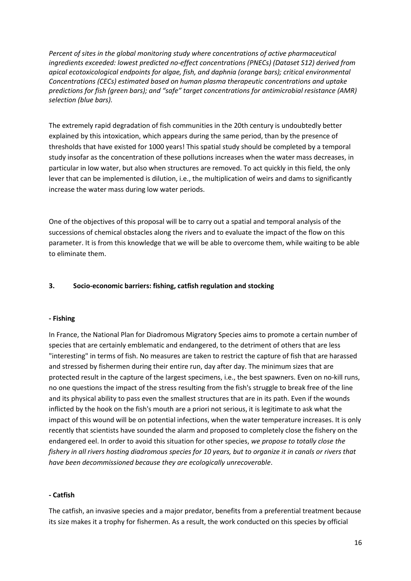*Percent of sites in the global monitoring study where concentrations of active pharmaceutical ingredients exceeded: lowest predicted no-effect concentrations (PNECs) (Dataset S12) derived from apical ecotoxicological endpoints for algae, fish, and daphnia (orange bars); critical environmental Concentrations (CECs) estimated based on human plasma therapeutic concentrations and uptake predictions for fish (green bars); and "safe" target concentrations for antimicrobial resistance (AMR) selection (blue bars).*

The extremely rapid degradation of fish communities in the 20th century is undoubtedly better explained by this intoxication, which appears during the same period, than by the presence of thresholds that have existed for 1000 years! This spatial study should be completed by a temporal study insofar as the concentration of these pollutions increases when the water mass decreases, in particular in low water, but also when structures are removed. To act quickly in this field, the only lever that can be implemented is dilution, i.e., the multiplication of weirs and dams to significantly increase the water mass during low water periods.

One of the objectives of this proposal will be to carry out a spatial and temporal analysis of the successions of chemical obstacles along the rivers and to evaluate the impact of the flow on this parameter. It is from this knowledge that we will be able to overcome them, while waiting to be able to eliminate them.

#### **3. Socio-economic barriers: fishing, catfish regulation and stocking**

#### **- Fishing**

In France, the National Plan for Diadromous Migratory Species aims to promote a certain number of species that are certainly emblematic and endangered, to the detriment of others that are less "interesting" in terms of fish. No measures are taken to restrict the capture of fish that are harassed and stressed by fishermen during their entire run, day after day. The minimum sizes that are protected result in the capture of the largest specimens, i.e., the best spawners. Even on no-kill runs, no one questions the impact of the stress resulting from the fish's struggle to break free of the line and its physical ability to pass even the smallest structures that are in its path. Even if the wounds inflicted by the hook on the fish's mouth are a priori not serious, it is legitimate to ask what the impact of this wound will be on potential infections, when the water temperature increases. It is only recently that scientists have sounded the alarm and proposed to completely close the fishery on the endangered eel. In order to avoid this situation for other species, *we propose to totally close the fishery in all rivers hosting diadromous species for 10 years, but to organize it in canals or rivers that have been decommissioned because they are ecologically unrecoverable*.

#### **- Catfish**

The catfish, an invasive species and a major predator, benefits from a preferential treatment because its size makes it a trophy for fishermen. As a result, the work conducted on this species by official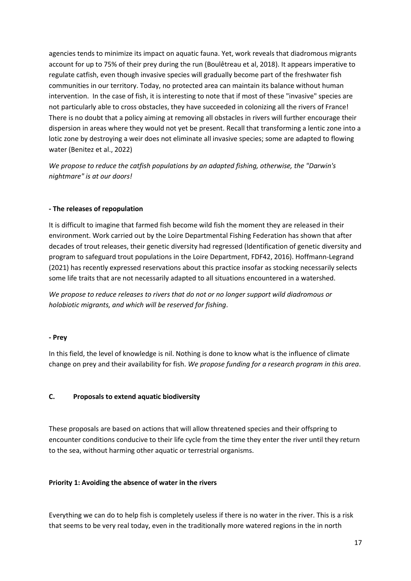agencies tends to minimize its impact on aquatic fauna. Yet, work reveals that diadromous migrants account for up to 75% of their prey during the run (Boulêtreau et al, 2018). It appears imperative to regulate catfish, even though invasive species will gradually become part of the freshwater fish communities in our territory. Today, no protected area can maintain its balance without human intervention. In the case of fish, it is interesting to note that if most of these "invasive" species are not particularly able to cross obstacles, they have succeeded in colonizing all the rivers of France! There is no doubt that a policy aiming at removing all obstacles in rivers will further encourage their dispersion in areas where they would not yet be present. Recall that transforming a lentic zone into a lotic zone by destroying a weir does not eliminate all invasive species; some are adapted to flowing water (Benitez et al., 2022)

*We propose to reduce the catfish populations by an adapted fishing, otherwise, the "Darwin's nightmare" is at our doors!*

#### **- The releases of repopulation**

It is difficult to imagine that farmed fish become wild fish the moment they are released in their environment. Work carried out by the Loire Departmental Fishing Federation has shown that after decades of trout releases, their genetic diversity had regressed (Identification of genetic diversity and program to safeguard trout populations in the Loire Department, FDF42, 2016). Hoffmann-Legrand (2021) has recently expressed reservations about this practice insofar as stocking necessarily selects some life traits that are not necessarily adapted to all situations encountered in a watershed.

*We propose to reduce releases to rivers that do not or no longer support wild diadromous or holobiotic migrants, and which will be reserved for fishing*.

#### **- Prey**

In this field, the level of knowledge is nil. Nothing is done to know what is the influence of climate change on prey and their availability for fish. *We propose funding for a research program in this area*.

#### **C. Proposals to extend aquatic biodiversity**

These proposals are based on actions that will allow threatened species and their offspring to encounter conditions conducive to their life cycle from the time they enter the river until they return to the sea, without harming other aquatic or terrestrial organisms.

#### **Priority 1: Avoiding the absence of water in the rivers**

Everything we can do to help fish is completely useless if there is no water in the river. This is a risk that seems to be very real today, even in the traditionally more watered regions in the in north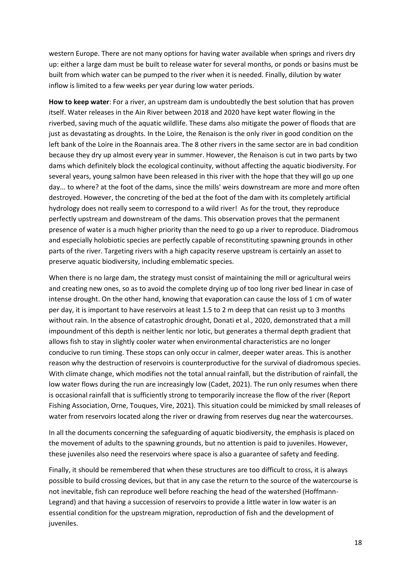western Europe. There are not many options for having water available when springs and rivers dry up: either a large dam must be built to release water for several months, or ponds or basins must be built from which water can be pumped to the river when it is needed. Finally, dilution by water inflow is limited to a few weeks per year during low water periods.

**How to keep water**: For a river, an upstream dam is undoubtedly the best solution that has proven itself. Water releases in the Ain River between 2018 and 2020 have kept water flowing in the riverbed, saving much of the aquatic wildlife. These dams also mitigate the power of floods that are just as devastating as droughts. In the Loire, the Renaison is the only river in good condition on the left bank of the Loire in the Roannais area. The 8 other rivers in the same sector are in bad condition because they dry up almost every year in summer. However, the Renaison is cut in two parts by two dams which definitely block the ecological continuity, without affecting the aquatic biodiversity. For several years, young salmon have been released in this river with the hope that they will go up one day... to where? at the foot of the dams, since the mills' weirs downstream are more and more often destroyed. However, the concreting of the bed at the foot of the dam with its completely artificial hydrology does not really seem to correspond to a wild river! As for the trout, they reproduce perfectly upstream and downstream of the dams. This observation proves that the permanent presence of water is a much higher priority than the need to go up a river to reproduce. Diadromous and especially holobiotic species are perfectly capable of reconstituting spawning grounds in other parts of the river. Targeting rivers with a high capacity reserve upstream is certainly an asset to preserve aquatic biodiversity, including emblematic species.

When there is no large dam, the strategy must consist of maintaining the mill or agricultural weirs and creating new ones, so as to avoid the complete drying up of too long river bed linear in case of intense drought. On the other hand, knowing that evaporation can cause the loss of 1 cm of water per day, it is important to have reservoirs at least 1.5 to 2 m deep that can resist up to 3 months without rain. In the absence of catastrophic drought, Donati et al., 2020, demonstrated that a mill impoundment of this depth is neither lentic nor lotic, but generates a thermal depth gradient that allows fish to stay in slightly cooler water when environmental characteristics are no longer conducive to run timing. These stops can only occur in calmer, deeper water areas. This is another reason why the destruction of reservoirs is counterproductive for the survival of diadromous species. With climate change, which modifies not the total annual rainfall, but the distribution of rainfall, the low water flows during the run are increasingly low (Cadet, 2021). The run only resumes when there is occasional rainfall that is sufficiently strong to temporarily increase the flow of the river (Report Fishing Association, Orne, Touques, Vire, 2021). This situation could be mimicked by small releases of water from reservoirs located along the river or drawing from reserves dug near the watercourses.

In all the documents concerning the safeguarding of aquatic biodiversity, the emphasis is placed on the movement of adults to the spawning grounds, but no attention is paid to juveniles. However, these juveniles also need the reservoirs where space is also a guarantee of safety and feeding.

Finally, it should be remembered that when these structures are too difficult to cross, it is always possible to build crossing devices, but that in any case the return to the source of the watercourse is not inevitable, fish can reproduce well before reaching the head of the watershed (Hoffmann-Legrand) and that having a succession of reservoirs to provide a little water in low water is an essential condition for the upstream migration, reproduction of fish and the development of juveniles.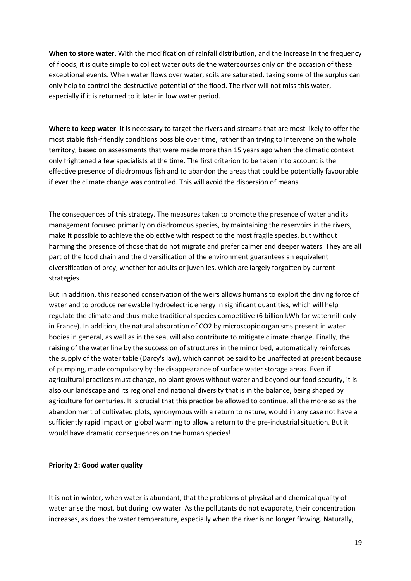**When to store water**. With the modification of rainfall distribution, and the increase in the frequency of floods, it is quite simple to collect water outside the watercourses only on the occasion of these exceptional events. When water flows over water, soils are saturated, taking some of the surplus can only help to control the destructive potential of the flood. The river will not miss this water, especially if it is returned to it later in low water period.

**Where to keep water**. It is necessary to target the rivers and streams that are most likely to offer the most stable fish-friendly conditions possible over time, rather than trying to intervene on the whole territory, based on assessments that were made more than 15 years ago when the climatic context only frightened a few specialists at the time. The first criterion to be taken into account is the effective presence of diadromous fish and to abandon the areas that could be potentially favourable if ever the climate change was controlled. This will avoid the dispersion of means.

The consequences of this strategy. The measures taken to promote the presence of water and its management focused primarily on diadromous species, by maintaining the reservoirs in the rivers, make it possible to achieve the objective with respect to the most fragile species, but without harming the presence of those that do not migrate and prefer calmer and deeper waters. They are all part of the food chain and the diversification of the environment guarantees an equivalent diversification of prey, whether for adults or juveniles, which are largely forgotten by current strategies.

But in addition, this reasoned conservation of the weirs allows humans to exploit the driving force of water and to produce renewable hydroelectric energy in significant quantities, which will help regulate the climate and thus make traditional species competitive (6 billion kWh for watermill only in France). In addition, the natural absorption of CO2 by microscopic organisms present in water bodies in general, as well as in the sea, will also contribute to mitigate climate change. Finally, the raising of the water line by the succession of structures in the minor bed, automatically reinforces the supply of the water table (Darcy's law), which cannot be said to be unaffected at present because of pumping, made compulsory by the disappearance of surface water storage areas. Even if agricultural practices must change, no plant grows without water and beyond our food security, it is also our landscape and its regional and national diversity that is in the balance, being shaped by agriculture for centuries. It is crucial that this practice be allowed to continue, all the more so as the abandonment of cultivated plots, synonymous with a return to nature, would in any case not have a sufficiently rapid impact on global warming to allow a return to the pre-industrial situation. But it would have dramatic consequences on the human species!

#### **Priority 2: Good water quality**

It is not in winter, when water is abundant, that the problems of physical and chemical quality of water arise the most, but during low water. As the pollutants do not evaporate, their concentration increases, as does the water temperature, especially when the river is no longer flowing. Naturally,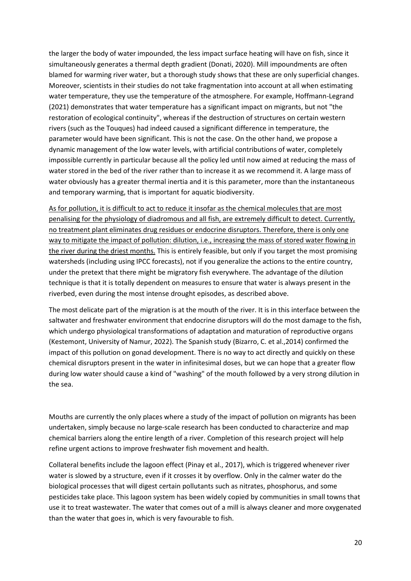the larger the body of water impounded, the less impact surface heating will have on fish, since it simultaneously generates a thermal depth gradient (Donati, 2020). Mill impoundments are often blamed for warming river water, but a thorough study shows that these are only superficial changes. Moreover, scientists in their studies do not take fragmentation into account at all when estimating water temperature, they use the temperature of the atmosphere. For example, Hoffmann-Legrand (2021) demonstrates that water temperature has a significant impact on migrants, but not "the restoration of ecological continuity", whereas if the destruction of structures on certain western rivers (such as the Touques) had indeed caused a significant difference in temperature, the parameter would have been significant. This is not the case. On the other hand, we propose a dynamic management of the low water levels, with artificial contributions of water, completely impossible currently in particular because all the policy led until now aimed at reducing the mass of water stored in the bed of the river rather than to increase it as we recommend it. A large mass of water obviously has a greater thermal inertia and it is this parameter, more than the instantaneous and temporary warming, that is important for aquatic biodiversity.

As for pollution, it is difficult to act to reduce it insofar as the chemical molecules that are most penalising for the physiology of diadromous and all fish, are extremely difficult to detect. Currently, no treatment plant eliminates drug residues or endocrine disruptors. Therefore, there is only one way to mitigate the impact of pollution: dilution, i.e., increasing the mass of stored water flowing in the river during the driest months. This is entirely feasible, but only if you target the most promising watersheds (including using IPCC forecasts), not if you generalize the actions to the entire country, under the pretext that there might be migratory fish everywhere. The advantage of the dilution technique is that it is totally dependent on measures to ensure that water is always present in the riverbed, even during the most intense drought episodes, as described above.

The most delicate part of the migration is at the mouth of the river. It is in this interface between the saltwater and freshwater environment that endocrine disruptors will do the most damage to the fish, which undergo physiological transformations of adaptation and maturation of reproductive organs (Kestemont, University of Namur, 2022). The Spanish study (Bizarro, C. et al.,2014) confirmed the impact of this pollution on gonad development. There is no way to act directly and quickly on these chemical disruptors present in the water in infinitesimal doses, but we can hope that a greater flow during low water should cause a kind of "washing" of the mouth followed by a very strong dilution in the sea.

Mouths are currently the only places where a study of the impact of pollution on migrants has been undertaken, simply because no large-scale research has been conducted to characterize and map chemical barriers along the entire length of a river. Completion of this research project will help refine urgent actions to improve freshwater fish movement and health.

Collateral benefits include the lagoon effect (Pinay et al., 2017), which is triggered whenever river water is slowed by a structure, even if it crosses it by overflow. Only in the calmer water do the biological processes that will digest certain pollutants such as nitrates, phosphorus, and some pesticides take place. This lagoon system has been widely copied by communities in small towns that use it to treat wastewater. The water that comes out of a mill is always cleaner and more oxygenated than the water that goes in, which is very favourable to fish.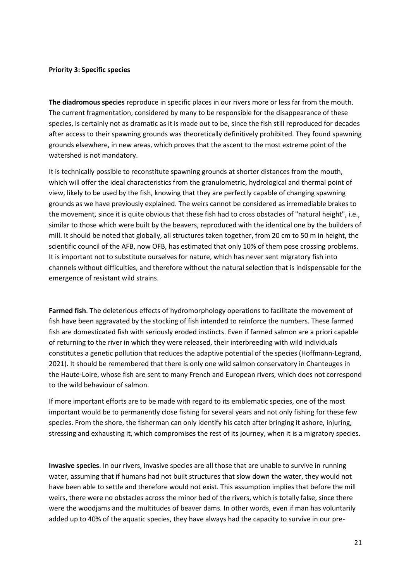#### **Priority 3: Specific species**

**The diadromous species** reproduce in specific places in our rivers more or less far from the mouth. The current fragmentation, considered by many to be responsible for the disappearance of these species, is certainly not as dramatic as it is made out to be, since the fish still reproduced for decades after access to their spawning grounds was theoretically definitively prohibited. They found spawning grounds elsewhere, in new areas, which proves that the ascent to the most extreme point of the watershed is not mandatory.

It is technically possible to reconstitute spawning grounds at shorter distances from the mouth, which will offer the ideal characteristics from the granulometric, hydrological and thermal point of view, likely to be used by the fish, knowing that they are perfectly capable of changing spawning grounds as we have previously explained. The weirs cannot be considered as irremediable brakes to the movement, since it is quite obvious that these fish had to cross obstacles of "natural height", i.e., similar to those which were built by the beavers, reproduced with the identical one by the builders of mill. It should be noted that globally, all structures taken together, from 20 cm to 50 m in height, the scientific council of the AFB, now OFB, has estimated that only 10% of them pose crossing problems. It is important not to substitute ourselves for nature, which has never sent migratory fish into channels without difficulties, and therefore without the natural selection that is indispensable for the emergence of resistant wild strains.

**Farmed fish**. The deleterious effects of hydromorphology operations to facilitate the movement of fish have been aggravated by the stocking of fish intended to reinforce the numbers. These farmed fish are domesticated fish with seriously eroded instincts. Even if farmed salmon are a priori capable of returning to the river in which they were released, their interbreeding with wild individuals constitutes a genetic pollution that reduces the adaptive potential of the species (Hoffmann-Legrand, 2021). It should be remembered that there is only one wild salmon conservatory in Chanteuges in the Haute-Loire, whose fish are sent to many French and European rivers, which does not correspond to the wild behaviour of salmon.

If more important efforts are to be made with regard to its emblematic species, one of the most important would be to permanently close fishing for several years and not only fishing for these few species. From the shore, the fisherman can only identify his catch after bringing it ashore, injuring, stressing and exhausting it, which compromises the rest of its journey, when it is a migratory species.

**Invasive species**. In our rivers, invasive species are all those that are unable to survive in running water, assuming that if humans had not built structures that slow down the water, they would not have been able to settle and therefore would not exist. This assumption implies that before the mill weirs, there were no obstacles across the minor bed of the rivers, which is totally false, since there were the woodjams and the multitudes of beaver dams. In other words, even if man has voluntarily added up to 40% of the aquatic species, they have always had the capacity to survive in our pre-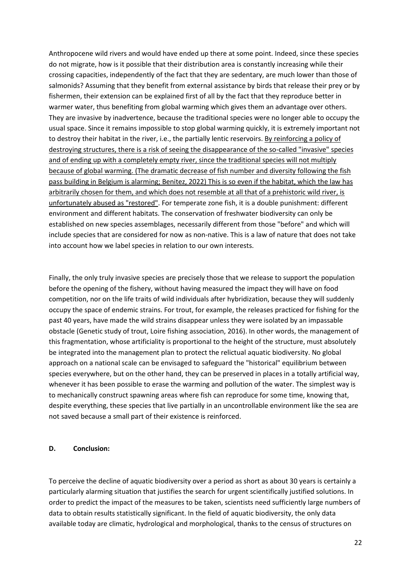Anthropocene wild rivers and would have ended up there at some point. Indeed, since these species do not migrate, how is it possible that their distribution area is constantly increasing while their crossing capacities, independently of the fact that they are sedentary, are much lower than those of salmonids? Assuming that they benefit from external assistance by birds that release their prey or by fishermen, their extension can be explained first of all by the fact that they reproduce better in warmer water, thus benefiting from global warming which gives them an advantage over others. They are invasive by inadvertence, because the traditional species were no longer able to occupy the usual space. Since it remains impossible to stop global warming quickly, it is extremely important not to destroy their habitat in the river, i.e., the partially lentic reservoirs. By reinforcing a policy of destroying structures, there is a risk of seeing the disappearance of the so-called "invasive" species and of ending up with a completely empty river, since the traditional species will not multiply because of global warming. (The dramatic decrease of fish number and diversity following the fish pass building in Belgium is alarming; Benitez, 2022) This is so even if the habitat, which the law has arbitrarily chosen for them, and which does not resemble at all that of a prehistoric wild river, is unfortunately abused as "restored". For temperate zone fish, it is a double punishment: different environment and different habitats. The conservation of freshwater biodiversity can only be established on new species assemblages, necessarily different from those "before" and which will include species that are considered for now as non-native. This is a law of nature that does not take into account how we label species in relation to our own interests.

Finally, the only truly invasive species are precisely those that we release to support the population before the opening of the fishery, without having measured the impact they will have on food competition, nor on the life traits of wild individuals after hybridization, because they will suddenly occupy the space of endemic strains. For trout, for example, the releases practiced for fishing for the past 40 years, have made the wild strains disappear unless they were isolated by an impassable obstacle (Genetic study of trout, Loire fishing association, 2016). In other words, the management of this fragmentation, whose artificiality is proportional to the height of the structure, must absolutely be integrated into the management plan to protect the relictual aquatic biodiversity. No global approach on a national scale can be envisaged to safeguard the "historical" equilibrium between species everywhere, but on the other hand, they can be preserved in places in a totally artificial way, whenever it has been possible to erase the warming and pollution of the water. The simplest way is to mechanically construct spawning areas where fish can reproduce for some time, knowing that, despite everything, these species that live partially in an uncontrollable environment like the sea are not saved because a small part of their existence is reinforced.

#### **D. Conclusion:**

To perceive the decline of aquatic biodiversity over a period as short as about 30 years is certainly a particularly alarming situation that justifies the search for urgent scientifically justified solutions. In order to predict the impact of the measures to be taken, scientists need sufficiently large numbers of data to obtain results statistically significant. In the field of aquatic biodiversity, the only data available today are climatic, hydrological and morphological, thanks to the census of structures on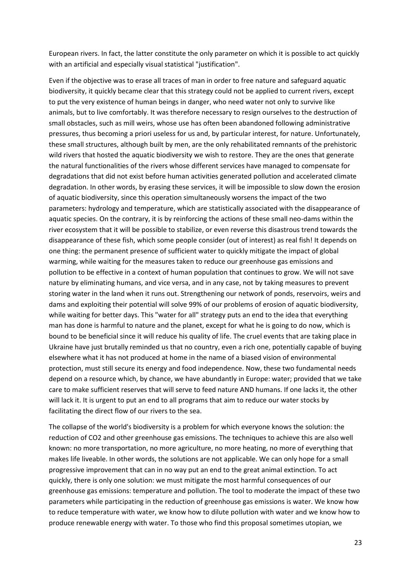European rivers. In fact, the latter constitute the only parameter on which it is possible to act quickly with an artificial and especially visual statistical "justification".

Even if the objective was to erase all traces of man in order to free nature and safeguard aquatic biodiversity, it quickly became clear that this strategy could not be applied to current rivers, except to put the very existence of human beings in danger, who need water not only to survive like animals, but to live comfortably. It was therefore necessary to resign ourselves to the destruction of small obstacles, such as mill weirs, whose use has often been abandoned following administrative pressures, thus becoming a priori useless for us and, by particular interest, for nature. Unfortunately, these small structures, although built by men, are the only rehabilitated remnants of the prehistoric wild rivers that hosted the aquatic biodiversity we wish to restore. They are the ones that generate the natural functionalities of the rivers whose different services have managed to compensate for degradations that did not exist before human activities generated pollution and accelerated climate degradation. In other words, by erasing these services, it will be impossible to slow down the erosion of aquatic biodiversity, since this operation simultaneously worsens the impact of the two parameters: hydrology and temperature, which are statistically associated with the disappearance of aquatic species. On the contrary, it is by reinforcing the actions of these small neo-dams within the river ecosystem that it will be possible to stabilize, or even reverse this disastrous trend towards the disappearance of these fish, which some people consider (out of interest) as real fish! It depends on one thing: the permanent presence of sufficient water to quickly mitigate the impact of global warming, while waiting for the measures taken to reduce our greenhouse gas emissions and pollution to be effective in a context of human population that continues to grow. We will not save nature by eliminating humans, and vice versa, and in any case, not by taking measures to prevent storing water in the land when it runs out. Strengthening our network of ponds, reservoirs, weirs and dams and exploiting their potential will solve 99% of our problems of erosion of aquatic biodiversity, while waiting for better days. This "water for all" strategy puts an end to the idea that everything man has done is harmful to nature and the planet, except for what he is going to do now, which is bound to be beneficial since it will reduce his quality of life. The cruel events that are taking place in Ukraine have just brutally reminded us that no country, even a rich one, potentially capable of buying elsewhere what it has not produced at home in the name of a biased vision of environmental protection, must still secure its energy and food independence. Now, these two fundamental needs depend on a resource which, by chance, we have abundantly in Europe: water; provided that we take care to make sufficient reserves that will serve to feed nature AND humans. If one lacks it, the other will lack it. It is urgent to put an end to all programs that aim to reduce our water stocks by facilitating the direct flow of our rivers to the sea.

The collapse of the world's biodiversity is a problem for which everyone knows the solution: the reduction of CO2 and other greenhouse gas emissions. The techniques to achieve this are also well known: no more transportation, no more agriculture, no more heating, no more of everything that makes life liveable. In other words, the solutions are not applicable. We can only hope for a small progressive improvement that can in no way put an end to the great animal extinction. To act quickly, there is only one solution: we must mitigate the most harmful consequences of our greenhouse gas emissions: temperature and pollution. The tool to moderate the impact of these two parameters while participating in the reduction of greenhouse gas emissions is water. We know how to reduce temperature with water, we know how to dilute pollution with water and we know how to produce renewable energy with water. To those who find this proposal sometimes utopian, we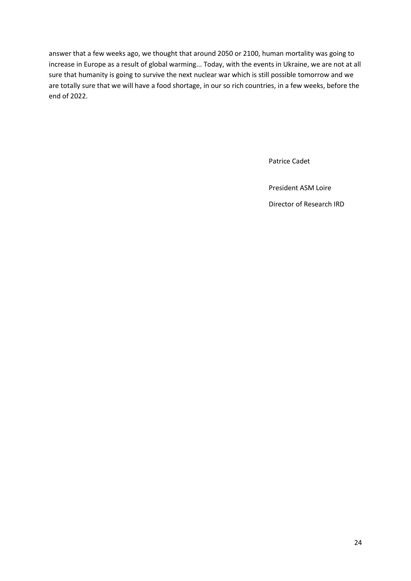answer that a few weeks ago, we thought that around 2050 or 2100, human mortality was going to increase in Europe as a result of global warming... Today, with the events in Ukraine, we are not at all sure that humanity is going to survive the next nuclear war which is still possible tomorrow and we are totally sure that we will have a food shortage, in our so rich countries, in a few weeks, before the end of 2022.

Patrice Cadet

President ASM Loire Director of Research IRD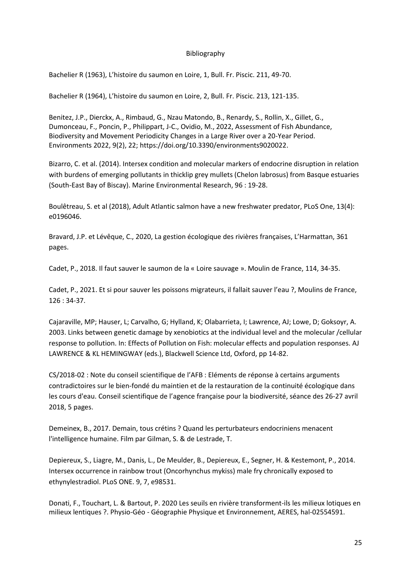#### Bibliography

Bachelier R (1963), [L'histoire du saumon en Loire](http://www.kmae-journal.org/component/solr/?task=results#!q=bachelier%20saumon%20loire&sort=score%20desc&rows=10&e=kmae), 1, Bull. Fr. Piscic. 211, 49-70.

Bachelier R (1964), [L'histoire du saumon en Loire](http://www.kmae-journal.org/component/solr/?task=results#!q=bachelier%20saumon%20loire&sort=score%20desc&rows=10&e=kmae), 2, Bull. Fr. Piscic. 213, 121-135.

[Benitez,](https://sciprofiles.com/profile/935474) J.P., [Dierckx,](https://sciprofiles.com/profile/author/NXd2MGpmb0RPbGtEVFhlWWhVbm1OT3FPQVREb1V1ejQwQ0NEWDhaVHBsMD0=) A., [Rimbaud,](https://sciprofiles.com/profile/author/UVZMRGxUWi9zdGhCNk1MSEswVGpDM3JMbDI0TjU0RE4xc2s1Tm0vZ2Z5OD0=) G., [Nzau Matondo,](https://sciprofiles.com/profile/680056) B.[, Renardy,](https://sciprofiles.com/profile/author/VmF0dGFzMTM2L2FpUzlsZXFDUGtiZytuaTE5aXNOQURqTWNxMjliaDFzaz0=) S., [Rollin,](https://sciprofiles.com/profile/author/K2kwRDFwNU8zZURrc2ZqalMyeXNodXU2djUvTkxjM3JsMDltV1RhWnY4MD0=) X., [Gillet,](https://sciprofiles.com/profile/author/b2VtT3hQK2NQN3dMOS9UaXIyd3RUaE5SQVlJMWJnVWFWZk5DSTJaMWtQendCOFFoV0VyVUVTZm9pK3BGN3pJSg==) G., [Dumonceau,](https://sciprofiles.com/profile/author/WnB0UXNGcEY5dVpSeXpXMXNNV2hEN1YwaEd2eDRYTHJEQVJGVk5RVDd1azNYS1Z5K2FtSlgvWHFwTG1JTy9CSw==) F., [Poncin,](https://sciprofiles.com/profile/author/NWFDWjJMbDFkcWJSUy91ZThQUmZKRDk3dVhGcS9GYVVPK0o1QkZrT2hWST0=) P., [Philippart,](https://sciprofiles.com/profile/author/ME5VL1VrREhiZ0tyQkxONSs2Z2V5TmlFN2NxbGdmUW94RzNBcngxdzJUaz0=) J-C.[, Ovidio,](https://sciprofiles.com/profile/935117) M., 2022, Assessment of Fish Abundance, Biodiversity and Movement Periodicity Changes in a Large River over a 20-Year Period. Environments 2022, 9(2), 22; [https://doi.org/10.3390/environments9020022.](https://doi.org/10.3390/environments9020022)

Bizarro, C. et al. (2014)[. Intersex condition and molecular markers of endocrine disruption in relation](https://www.sciencedirect.com/science/article/pii/S014111361300189X)  [with burdens of emerging pollutants in thicklip grey mullets \(Chelon labrosus\) from Basque estuaries](https://www.sciencedirect.com/science/article/pii/S014111361300189X)  [\(South-East Bay of Biscay\).](https://www.sciencedirect.com/science/article/pii/S014111361300189X) [Marine Environmental Research,](https://www.sciencedirect.com/science/journal/01411136) 96 : 19-28.

Boulêtreau, S. et al (2018), [Adult Atlantic salmon have a new freshwater predator,](https://journals.plos.org/plosone/article?id=10.1371/journal.pone.0196046) PLoS One, 13(4): e0196046.

Bravard, J.P. et Lévêque, C., 2020, La gestion écologique des rivières françaises, L'Harmattan, 361 pages.

Cadet, P., 2018. Il faut sauver le saumon de la « Loire sauvage ». Moulin de France, 114, 34-35.

Cadet, P., 2021. Et si pour sauver les poissons migrateurs, il fallait sauver l'eau ?, Moulins de France, 126 : 34-37.

Cajaraville, MP; Hauser, L; Carvalho, G; Hylland, K; Olabarrieta, I; Lawrence, AJ; Lowe, D; Goksoyr, A. 2003. Links between genetic damage by xenobiotics at the individual level and the molecular /cellular response to pollution. In: Effects of Pollution on Fish: molecular effects and population responses. AJ LAWRENCE & KL HEMINGWAY (eds.), Blackwell Science Ltd, Oxford, pp 14-82.

CS/2018-02 : Note du conseil scientifique de l'AFB : Eléments de réponse à certains arguments contradictoires sur le bien-fondé du maintien et de la restauration de la continuité écologique dans les cours d'eau. Conseil scientifique de l'agence française pour la biodiversité, séance des 26-27 avril 2018, 5 pages.

Demeinex, B., 2017. Demain, tous crétins ? Quand les perturbateurs endocriniens menacent l'intelligence humaine. Film par Gilman, S. & de Lestrade, T.

[Depiereux, S.,](https://researchportal.unamur.be/fr/persons/sophie-depiereux) Liagre, M., Danis, L., De Meulder, B., [Depiereux, E.,](https://researchportal.unamur.be/fr/persons/eric-depiereux) Segner, H. & [Kestemont, P.,](https://researchportal.unamur.be/fr/persons/patrick-kestemont) 2014. [Intersex occurrence in rainbow trout \(Oncorhynchus mykiss\) male fry chronically exposed to](https://researchportal.unamur.be/fr/publications/intersex-occurrence-in-rainbow-trout-oncorhynchus-mykiss-male-fry)  [ethynylestradiol.](https://researchportal.unamur.be/fr/publications/intersex-occurrence-in-rainbow-trout-oncorhynchus-mykiss-male-fry) [PLoS ONE.](https://researchportal.unamur.be/fr/publications/?pageSize=50&ordering=publicationYearThenTitle&descending=true&showAdvanced=false&andConceptIds=bdb778eb-cf90-41e5-acc8-c7b0b22167c7&allConcepts=true&inferConcepts=true&searchBy=RelatedConcepts) 9, 7, e98531.

Donati, F., Touchart, L. & Bartout, P. 2020 Les seuils en rivière transforment-ils les milieux lotiques en milieux lentiques ?. Physio-Géo - Géographie Physique et Environnement, AERES, hal-02554591.